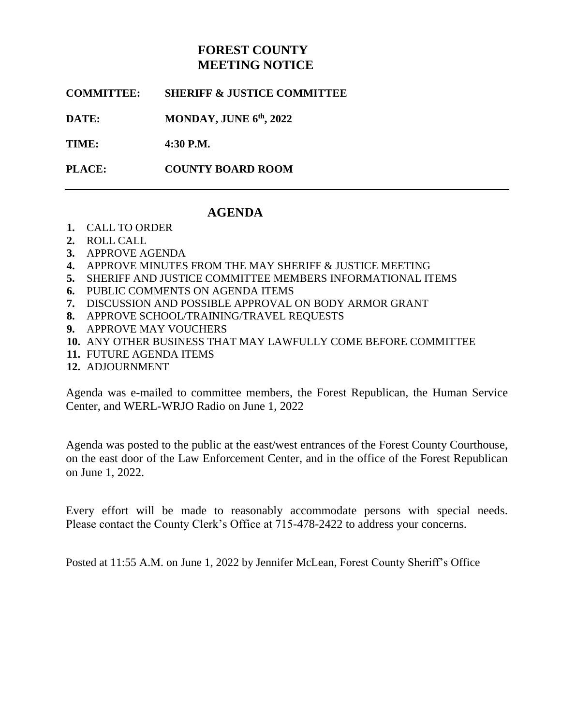# **FOREST COUNTY MEETING NOTICE**

**COMMITTEE: SHERIFF & JUSTICE COMMITTEE**

**DATE: MONDAY, JUNE 6<sup>th</sup>, 2022** 

**TIME: 4:30 P.M.**

**PLACE: COUNTY BOARD ROOM**

## **AGENDA**

- **1.** CALL TO ORDER
- **2.** ROLL CALL
- **3.** APPROVE AGENDA
- **4.** APPROVE MINUTES FROM THE MAY SHERIFF & JUSTICE MEETING
- **5.** SHERIFF AND JUSTICE COMMITTEE MEMBERS INFORMATIONAL ITEMS
- **6.** PUBLIC COMMENTS ON AGENDA ITEMS
- **7.** DISCUSSION AND POSSIBLE APPROVAL ON BODY ARMOR GRANT
- **8.** APPROVE SCHOOL/TRAINING/TRAVEL REQUESTS
- **9.** APPROVE MAY VOUCHERS
- **10.** ANY OTHER BUSINESS THAT MAY LAWFULLY COME BEFORE COMMITTEE
- **11.** FUTURE AGENDA ITEMS
- **12.** ADJOURNMENT

Agenda was e-mailed to committee members, the Forest Republican, the Human Service Center, and WERL-WRJO Radio on June 1, 2022

Agenda was posted to the public at the east/west entrances of the Forest County Courthouse, on the east door of the Law Enforcement Center, and in the office of the Forest Republican on June 1, 2022.

Every effort will be made to reasonably accommodate persons with special needs. Please contact the County Clerk's Office at 715-478-2422 to address your concerns.

Posted at 11:55 A.M. on June 1, 2022 by Jennifer McLean, Forest County Sheriff's Office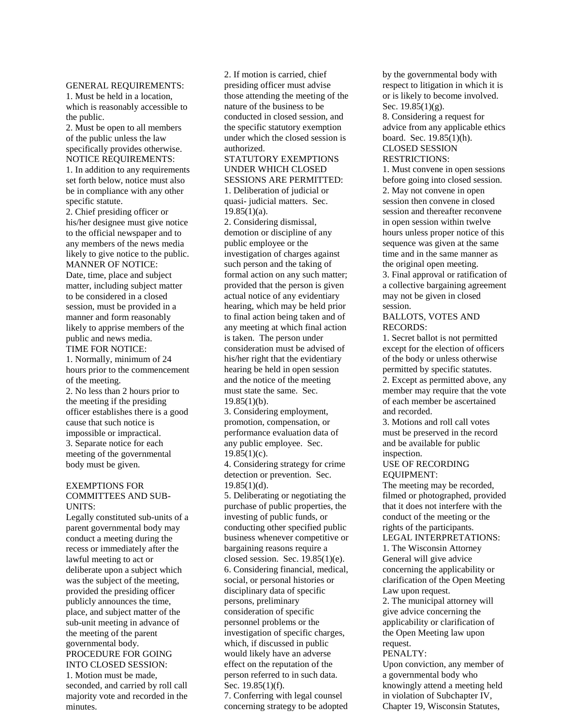#### GENERAL REQUIREMENTS:

1. Must be held in a location, which is reasonably accessible to the public.

2. Must be open to all members of the public unless the law specifically provides otherwise. NOTICE REQUIREMENTS:

1. In addition to any requirements set forth below, notice must also be in compliance with any other specific statute.

2. Chief presiding officer or his/her designee must give notice to the official newspaper and to any members of the news media likely to give notice to the public. MANNER OF NOTICE:

Date, time, place and subject matter, including subject matter to be considered in a closed session, must be provided in a manner and form reasonably likely to apprise members of the public and news media. TIME FOR NOTICE:

1. Normally, minimum of 24 hours prior to the commencement of the meeting.

2. No less than 2 hours prior to the meeting if the presiding officer establishes there is a good cause that such notice is impossible or impractical. 3. Separate notice for each meeting of the governmental body must be given.

### EXEMPTIONS FOR COMMITTEES AND SUB-UNITS:

Legally constituted sub-units of a parent governmental body may conduct a meeting during the recess or immediately after the lawful meeting to act or deliberate upon a subject which was the subject of the meeting, provided the presiding officer publicly announces the time, place, and subject matter of the sub-unit meeting in advance of the meeting of the parent governmental body. PROCEDURE FOR GOING INTO CLOSED SESSION: 1. Motion must be made,

seconded, and carried by roll call majority vote and recorded in the minutes.

2. If motion is carried, chief presiding officer must advise those attending the meeting of the nature of the business to be conducted in closed session, and the specific statutory exemption under which the closed session is authorized.

STATUTORY EXEMPTIONS UNDER WHICH CLOSED SESSIONS ARE PERMITTED: 1. Deliberation of judicial or quasi- judicial matters. Sec.  $19.85(1)(a)$ .

2. Considering dismissal, demotion or discipline of any public employee or the investigation of charges against such person and the taking of formal action on any such matter; provided that the person is given actual notice of any evidentiary hearing, which may be held prior to final action being taken and of any meeting at which final action is taken. The person under consideration must be advised of his/her right that the evidentiary hearing be held in open session and the notice of the meeting must state the same. Sec.  $19.85(1)(b)$ .

3. Considering employment, promotion, compensation, or performance evaluation data of any public employee. Sec.  $19.85(1)(c)$ .

4. Considering strategy for crime detection or prevention. Sec.  $19.85(1)(d)$ .

5. Deliberating or negotiating the purchase of public properties, the investing of public funds, or conducting other specified public business whenever competitive or bargaining reasons require a closed session. Sec. 19.85(1)(e). 6. Considering financial, medical, social, or personal histories or disciplinary data of specific persons, preliminary consideration of specific personnel problems or the investigation of specific charges, which, if discussed in public would likely have an adverse effect on the reputation of the person referred to in such data. Sec. 19.85(1)(f).

7. Conferring with legal counsel concerning strategy to be adopted

by the governmental body with respect to litigation in which it is or is likely to become involved. Sec. 19.85(1)(g).

8. Considering a request for advice from any applicable ethics board. Sec. 19.85(1)(h). CLOSED SESSION RESTRICTIONS:

1. Must convene in open sessions before going into closed session. 2. May not convene in open session then convene in closed session and thereafter reconvene in open session within twelve hours unless proper notice of this sequence was given at the same time and in the same manner as the original open meeting. 3. Final approval or ratification of

a collective bargaining agreement may not be given in closed session.

## BALLOTS, VOTES AND RECORDS:

1. Secret ballot is not permitted except for the election of officers of the body or unless otherwise permitted by specific statutes. 2. Except as permitted above, any member may require that the vote of each member be ascertained and recorded.

3. Motions and roll call votes must be preserved in the record and be available for public inspection.

#### USE OF RECORDING EQUIPMENT:

The meeting may be recorded, filmed or photographed, provided that it does not interfere with the conduct of the meeting or the rights of the participants.

LEGAL INTERPRETATIONS: 1. The Wisconsin Attorney

General will give advice concerning the applicability or clarification of the Open Meeting Law upon request.

2. The municipal attorney will give advice concerning the applicability or clarification of the Open Meeting law upon request.

#### PENALTY:

Upon conviction, any member of a governmental body who knowingly attend a meeting held in violation of Subchapter IV, Chapter 19, Wisconsin Statutes,